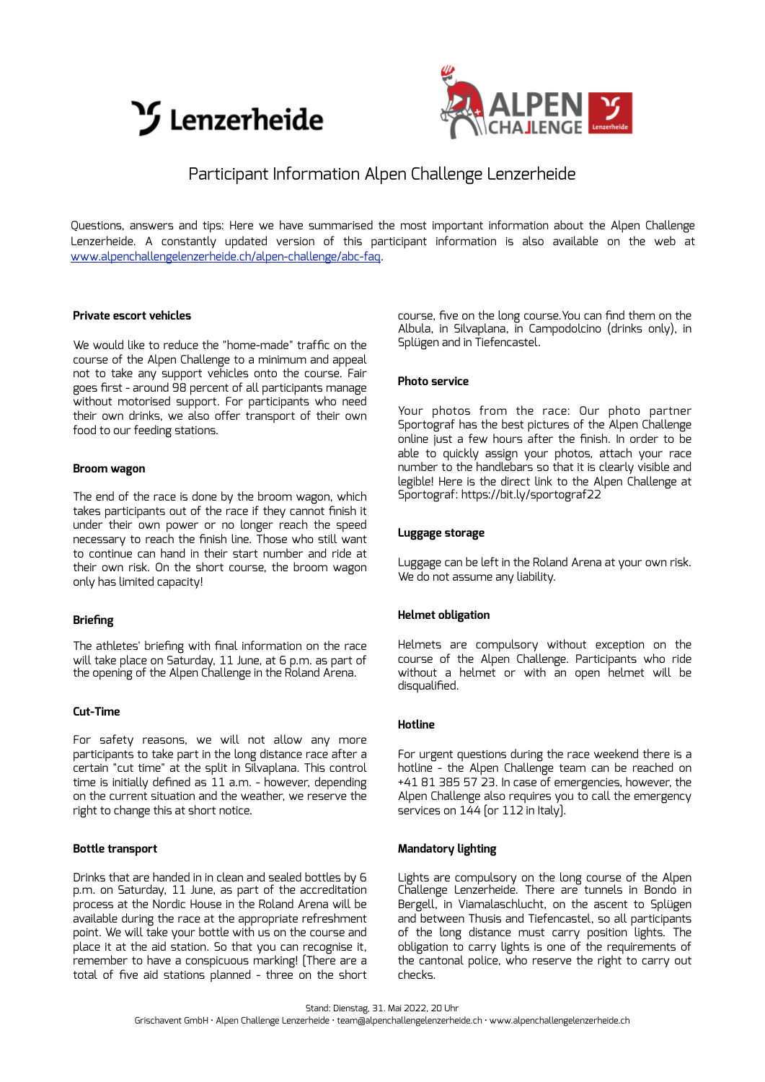



## Participant Information Alpen Challenge Lenzerheide

Questions, answers and tips: Here we have summarised the most important information about the Alpen Challenge Lenzerheide. A constantly updated version of this participant information is also available on the web at [www.alpenchallengelenzerheide.ch/alpen-challenge/abc-faq.](http://www.alpenchallengelenzerheide.ch/alpen-challenge/abc-faq)

## **Private escort vehicles**

We would like to reduce the "home-made" traffic on the course of the Alpen Challenge to a minimum and appeal not to take any support vehicles onto the course. Fair goes first - around 98 percent of all participants manage without motorised support. For participants who need their own drinks, we also offer transport of their own food to our feeding stations.

## **Broom wagon**

The end of the race is done by the broom wagon, which takes participants out of the race if they cannot finish it under their own power or no longer reach the speed necessary to reach the finish line. Those who still want to continue can hand in their start number and ride at their own risk. On the short course, the broom wagon only has limited capacity!

## **Briefing**

The athletes' briefing with final information on the race will take place on Saturday, 11 June, at 6 p.m. as part of the opening of the Alpen Challenge in the Roland Arena.

## **Cut-Time**

For safety reasons, we will not allow any more participants to take part in the long distance race after a certain "cut time" at the split in Silvaplana. This control time is initially defined as 11 a.m. - however, depending on the current situation and the weather, we reserve the right to change this at short notice.

## **Bottle transport**

Drinks that are handed in in clean and sealed bottles by 6 p.m. on Saturday, 11 June, as part of the accreditation process at the Nordic House in the Roland Arena will be available during the race at the appropriate refreshment point. We will take your bottle with us on the course and place it at the aid station. So that you can recognise it, remember to have a conspicuous marking! [There are a total of five aid stations planned - three on the short

course, five on the long course.You can find them on the Albula, in Silvaplana, in Campodolcino (drinks only), in Splügen and in Tiefencastel.

## **Photo service**

Your photos from the race: Our photo partner Sportograf has the best pictures of the Alpen Challenge online just a few hours after the finish. In order to be able to quickly assign your photos, attach your race number to the handlebars so that it is clearly visible and legible! Here is the direct link to the Alpen Challenge at Sportograf: https://bit.ly/sportograf22

## **Luggage storage**

Luggage can be left in the Roland Arena at your own risk. We do not assume any liability.

## **Helmet obligation**

Helmets are compulsory without exception on the course of the Alpen Challenge. Participants who ride without a helmet or with an open helmet will be disqualified.

#### **Hotline**

For urgent questions during the race weekend there is a hotline - the Alpen Challenge team can be reached on +41 81 385 57 23. In case of emergencies, however, the Alpen Challenge also requires you to call the emergency services on  $144$  [or  $112$  in Italy].

## **Mandatory lighting**

Lights are compulsory on the long course of the Alpen Challenge Lenzerheide. There are tunnels in Bondo in Bergell, in Viamalaschlucht, on the ascent to Splügen and between Thusis and Tiefencastel, so all participants of the long distance must carry position lights. The obligation to carry lights is one of the requirements of the cantonal police, who reserve the right to carry out checks.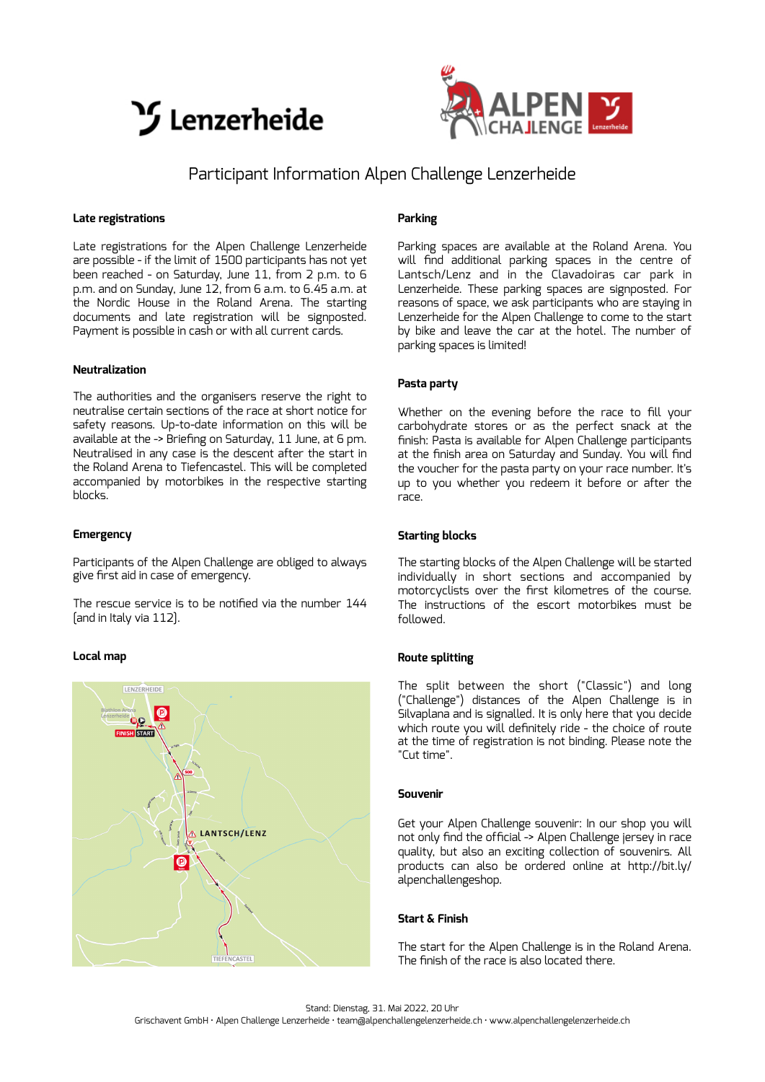



# Participant Information Alpen Challenge Lenzerheide

#### **Late registrations**

Late registrations for the Alpen Challenge Lenzerheide are possible - if the limit of 1500 participants has not yet been reached - on Saturday, June 11, from 2 p.m. to 6 p.m. and on Sunday, June 12, from 6 a.m. to 6.45 a.m. at the Nordic House in the Roland Arena. The starting documents and late registration will be signposted. Payment is possible in cash or with all current cards.

## **Neutralization**

The authorities and the organisers reserve the right to neutralise certain sections of the race at short notice for safety reasons. Up-to-date information on this will be available at the -> Briefing on Saturday, 11 June, at 6 pm. Neutralised in any case is the descent after the start in the Roland Arena to Tiefencastel. This will be completed accompanied by motorbikes in the respective starting blocks.

#### **Emergency**

Participants of the Alpen Challenge are obliged to always give first aid in case of emergency.

The rescue service is to be notified via the number 144 [and in Italy via 112].

## **Local map**



## **Parking**

Parking spaces are available at the Roland Arena. You will find additional parking spaces in the centre of Lantsch/Lenz and in the Clavadoiras car park in Lenzerheide. These parking spaces are signposted. For reasons of space, we ask participants who are staying in Lenzerheide for the Alpen Challenge to come to the start by bike and leave the car at the hotel. The number of parking spaces is limited!

## **Pasta party**

Whether on the evening before the race to fill your carbohydrate stores or as the perfect snack at the finish: Pasta is available for Alpen Challenge participants at the finish area on Saturday and Sunday. You will find the voucher for the pasta party on your race number. It's up to you whether you redeem it before or after the race.

## **Starting blocks**

The starting blocks of the Alpen Challenge will be started individually in short sections and accompanied by motorcyclists over the first kilometres of the course. The instructions of the escort motorbikes must be followed.

## **Route splitting**

The split between the short ("Classic") and long ("Challenge") distances of the Alpen Challenge is in Silvaplana and is signalled. It is only here that you decide which route you will definitely ride - the choice of route at the time of registration is not binding. Please note the "Cut time".

## **Souvenir**

Get your Alpen Challenge souvenir: In our shop you will not only find the official -> Alpen Challenge jersey in race quality, but also an exciting collection of souvenirs. All products can also be ordered online at http://bit.ly/ alpenchallengeshop.

## **Start & Finish**

The start for the Alpen Challenge is in the Roland Arena. The finish of the race is also located there.